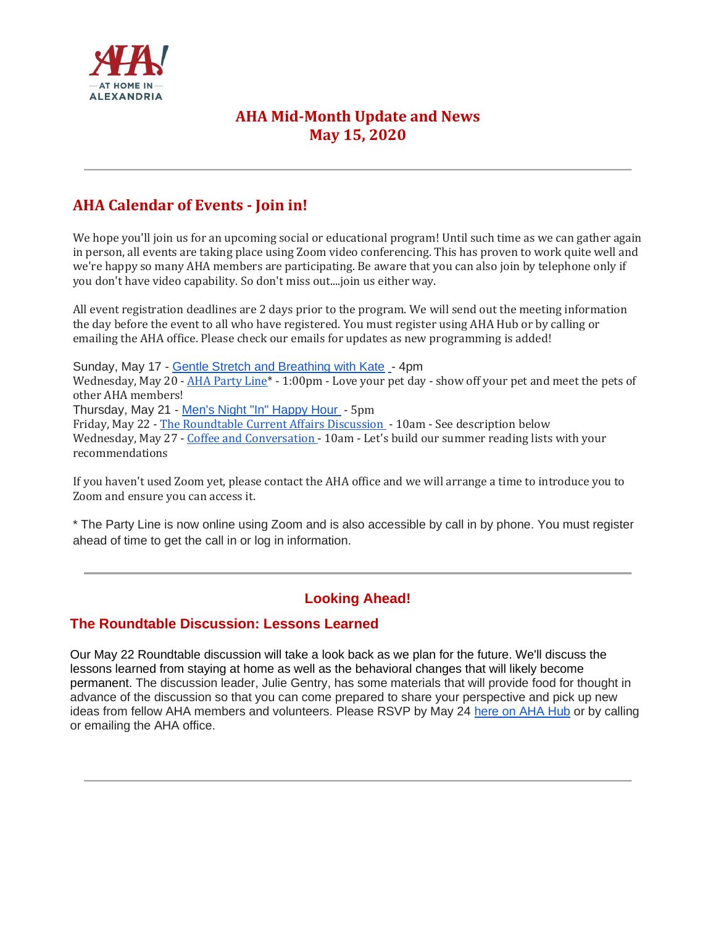

# **AHA Mid-Month Update and News May 15, 2020**

# **AHA Calendar of Events - Join in!**

We hope you'll join us for an upcoming social or educational program! Until such time as we can gather again in person, all events are taking place using Zoom video conferencing. This has proven to work quite well and we're happy so many AHA members are participating. Be aware that you can also join by telephone only if you don't have video capability. So don't miss out....join us either way.

All event registration deadlines are 2 days prior to the program. We will send out the meeting information the day before the event to all who have registered. You must register using AHA Hub or by calling or emailing the AHA office. Please check our emails for updates as new programming is added!

Sunday, May 17 - [Gentle Stretch and Breathing with Kate](https://aha.clubexpress.com/content.aspx?page_id=4002&club_id=251265&item_id=1206940) [-](https://athomeinalexandria.org/events/stretch-and-breathe-with-kate-2/) 4pm

Wednesday, May 20 - AHA Party Line<sup>\*</sup> - 1:00pm - Love your pet day - show off your pet and meet the pets of other AHA members!

Thursday, May 21 - [Men's Night "In" Happy Hour](https://aha.clubexpress.com/content.aspx?page_id=4002&club_id=251265&item_id=1207787) - 5pm

Friday, May 22 - [The Roundtable Current Affairs Discussion](https://aha.clubexpress.com/content.aspx?page_id=4002&club_id=251265&item_id=1207789) - 10am - See description below Wednesday, May 27 - [Coffee and Conversation](https://aha.clubexpress.com/content.aspx?page_id=4002&club_id=251265&item_id=1207796) - 10am - Let's build our summer reading lists with your recommendations

If you haven't used Zoom yet, please contact the AHA office and we will arrange a time to introduce you to Zoom and ensure you can access it.

\* The Party Line is now online using Zoom and is also accessible by call in by phone. You must register ahead of time to get the call in or log in information.

## **Looking Ahead!**

#### **The Roundtable Discussion: Lessons Learned**

Our May 22 Roundtable discussion will take a look back as we plan for the future. We'll discuss the lessons learned from staying at home as well as the behavioral changes that will likely become permanent. The discussion leader, Julie Gentry, has some materials that will provide food for thought in advance of the discussion so that you can come prepared to share your perspective and pick up new ideas from fellow AHA members and volunteers. Please RSVP by May 24 [here on AHA Hub](https://aha.clubexpress.com/content.aspx?page_id=4002&club_id=251265&item_id=1207789) or by calling or emailing the AHA office.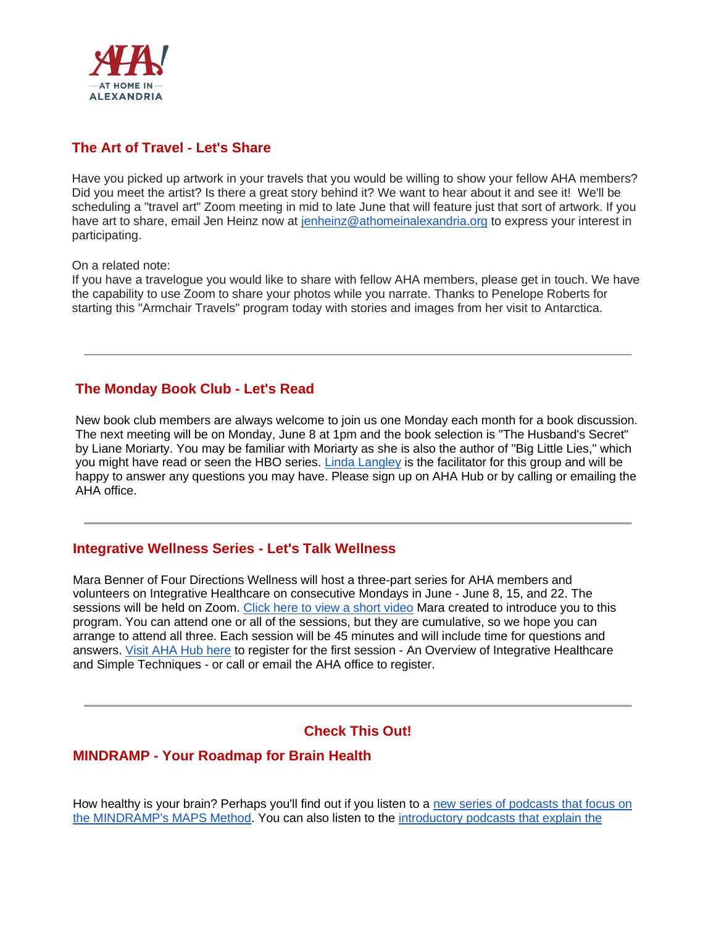

### **The Art of Travel - Let's Share**

Have you picked up artwork in your travels that you would be willing to show your fellow AHA members? Did you meet the artist? Is there a great story behind it? We want to hear about it and see it! We'll be scheduling a "travel art" Zoom meeting in mid to late June that will feature just that sort of artwork. If you have art to share, email Jen Heinz now at [jenheinz@athomeinalexandria.org](mailto:jenheinz@athomeinalexandria.org) to express your interest in participating.

On a related note:

If you have a travelogue you would like to share with fellow AHA members, please get in touch. We have the capability to use Zoom to share your photos while you narrate. Thanks to Penelope Roberts for starting this "Armchair Travels" program today with stories and images from her visit to Antarctica.

#### **The Monday Book Club - Let's Read**

New book club members are always welcome to join us one Monday each month for a book discussion. The next meeting will be on Monday, June 8 at 1pm and the book selection is "The Husband's Secret" by Liane Moriarty. You may be familiar with Moriarty as she is also the author of "Big Little Lies," which you might have read or seen the HBO series. [Linda Langley](mailto:langley.lk@gmail.com) is the facilitator for this group and will be happy to answer any questions you may have. Please sign up on AHA Hub or by calling or emailing the AHA office.

#### **Integrative Wellness Series - Let's Talk Wellness**

Mara Benner of Four Directions Wellness will host a three-part series for AHA members and volunteers on Integrative Healthcare on consecutive Mondays in June - June 8, 15, and 22. The sessions will be held on Zoom. [Click here to view a short video](https://youtu.be/oaUQMvufEPw) Mara created to introduce you to this program. You can attend one or all of the sessions, but they are cumulative, so we hope you can arrange to attend all three. Each session will be 45 minutes and will include time for questions and answers. [Visit AHA Hub here](https://aha.clubexpress.com/content.aspx?page_id=4002&club_id=251265&item_id=1215493) to register for the first session - An Overview of Integrative Healthcare and Simple Techniques - or call or email the AHA office to register.

#### **Check This Out!**

#### **MINDRAMP - Your Roadmap for Brain Health**

How healthy is your brain? Perhaps you'll find out if you listen to a [new series of podcasts that focus on](https://www.buzzsprout.com/777224/3403225?utm_source=MINDRAMP+Brain+Health+Newsletter&utm_campaign=4d1af29409-EMAIL_CAMPAIGN_2020_05_07_07_27&utm_medium=email&utm_term=0_6054ab754a-4d1af29409-127982973&mc_cid=4d1af29409&mc_eid=078835089b)  [the MINDRAMP's MAPS Method.](https://www.buzzsprout.com/777224/3403225?utm_source=MINDRAMP+Brain+Health+Newsletter&utm_campaign=4d1af29409-EMAIL_CAMPAIGN_2020_05_07_07_27&utm_medium=email&utm_term=0_6054ab754a-4d1af29409-127982973&mc_cid=4d1af29409&mc_eid=078835089b) You can also listen to the [introductory podcasts that explain the](https://www.iheart.com/podcast/269-mindramp-podcast-57079705/episode/coronavirus-cabin-fever-1-seeking-the-60430388/)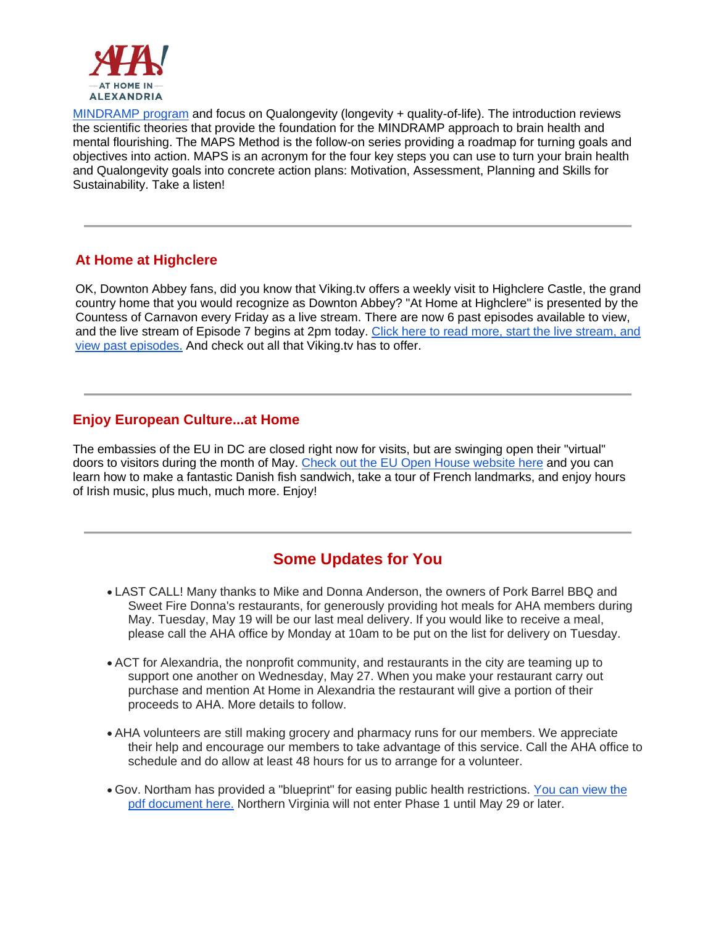

[MINDRAMP program](https://www.iheart.com/podcast/269-mindramp-podcast-57079705/episode/coronavirus-cabin-fever-1-seeking-the-60430388/) and focus on Qualongevity (longevity + quality-of-life). The introduction reviews the scientific theories that provide the foundation for the MINDRAMP approach to brain health and mental flourishing. The MAPS Method is the follow-on series providing a roadmap for turning goals and objectives into action. MAPS is an acronym for the four key steps you can use to turn your brain health and Qualongevity goals into concrete action plans: Motivation, Assessment, Planning and Skills for Sustainability. Take a listen!

### **At Home at Highclere**

OK, Downton Abbey fans, did you know that Viking.tv offers a weekly visit to Highclere Castle, the grand country home that you would recognize as Downton Abbey? "At Home at Highclere" is presented by the Countess of Carnavon every Friday as a live stream. There are now 6 past episodes available to view, and the live stream of Episode 7 begins at 2pm today. [Click here to read more, start the live stream, and](https://viking.tv/index/story/at-home-at-highclere-on-fridays)  [view past episodes.](https://viking.tv/index/story/at-home-at-highclere-on-fridays) And check out all that Viking.tv has to offer.

#### **Enjoy European Culture...at Home**

The embassies of the EU in DC are closed right now for visits, but are swinging open their "virtual" doors to visitors during the month of May. [Check out the EU Open House website here](http://events.euintheus.org/landing_page/euopenhouse/) and you can learn how to make a fantastic Danish fish sandwich, take a tour of French landmarks, and enjoy hours of Irish music, plus much, much more. Enjoy!

# **Some Updates for You**

- LAST CALL! Many thanks to Mike and Donna Anderson, the owners of Pork Barrel BBQ and Sweet Fire Donna's restaurants, for generously providing hot meals for AHA members during May. Tuesday, May 19 will be our last meal delivery. If you would like to receive a meal, please call the AHA office by Monday at 10am to be put on the list for delivery on Tuesday.
- ACT for Alexandria, the nonprofit community, and restaurants in the city are teaming up to support one another on Wednesday, May 27. When you make your restaurant carry out purchase and mention At Home in Alexandria the restaurant will give a portion of their proceeds to AHA. More details to follow.
- AHA volunteers are still making grocery and pharmacy runs for our members. We appreciate their help and encourage our members to take advantage of this service. Call the AHA office to schedule and do allow at least 48 hours for us to arrange for a volunteer.
- Gov. Northam has provided a "blueprint" for easing public health restrictions. [You can view the](https://www.governor.virginia.gov/media/governorvirginiagov/governor-of-virginia/pdf/Slide-Deck-4-24-2020-.pdf)  [pdf document here.](https://www.governor.virginia.gov/media/governorvirginiagov/governor-of-virginia/pdf/Slide-Deck-4-24-2020-.pdf) Northern Virginia will not enter Phase 1 until May 29 or later.